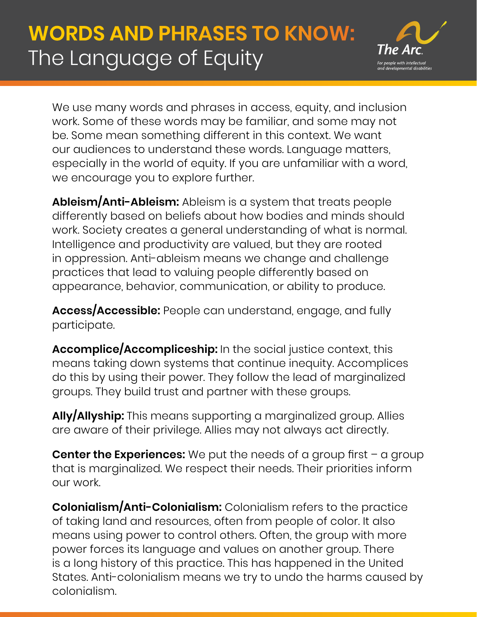

We use many words and phrases in access, equity, and inclusion work. Some of these words may be familiar, and some may not be. Some mean something different in this context. We want our audiences to understand these words. Language matters, especially in the world of equity. If you are unfamiliar with a word, we encourage you to explore further.

**Ableism/Anti-Ableism:** Ableism is a system that treats people differently based on beliefs about how bodies and minds should work. Society creates a general understanding of what is normal. Intelligence and productivity are valued, but they are rooted in oppression. Anti-ableism means we change and challenge practices that lead to valuing people differently based on appearance, behavior, communication, or ability to produce.

**Access/Accessible:** People can understand, engage, and fully participate.

**Accomplice/Accompliceship:** In the social justice context, this means taking down systems that continue inequity. Accomplices do this by using their power. They follow the lead of marginalized groups. They build trust and partner with these groups.

**Ally/Allyship:** This means supporting a marginalized group. Allies are aware of their privilege. Allies may not always act directly.

**Center the Experiences:** We put the needs of a group first – a group that is marginalized. We respect their needs. Their priorities inform our work.

**Colonialism/Anti-Colonialism:** Colonialism refers to the practice of taking land and resources, often from people of color. It also means using power to control others. Often, the group with more power forces its language and values on another group. There is a long history of this practice. This has happened in the United States. Anti-colonialism means we try to undo the harms caused by colonialism.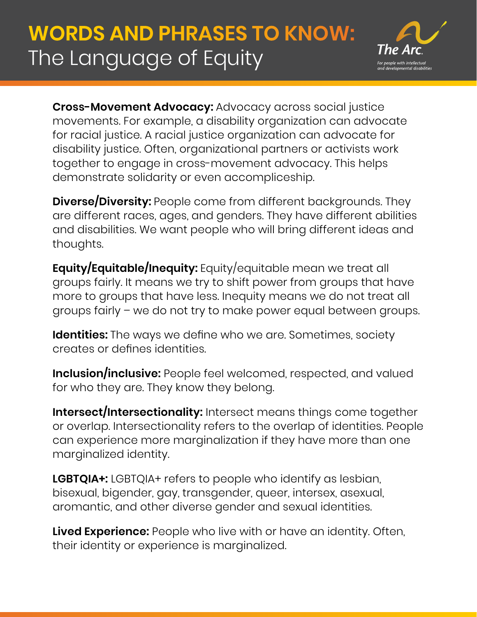

**Cross-Movement Advocacy:** Advocacy across social justice movements. For example, a disability organization can advocate for racial justice. A racial justice organization can advocate for disability justice. Often, organizational partners or activists work together to engage in cross-movement advocacy. This helps demonstrate solidarity or even accompliceship.

**Diverse/Diversity:** People come from different backgrounds. They are different races, ages, and genders. They have different abilities and disabilities. We want people who will bring different ideas and thoughts.

**Equity/Equitable/Inequity:** Equity/equitable mean we treat all groups fairly. It means we try to shift power from groups that have more to groups that have less. Inequity means we do not treat all groups fairly – we do not try to make power equal between groups.

**Identities:** The ways we define who we are. Sometimes, society creates or defines identities.

**Inclusion/inclusive:** People feel welcomed, respected, and valued for who they are. They know they belong.

**Intersect/Intersectionality:** Intersect means things come together or overlap. Intersectionality refers to the overlap of identities. People can experience more marginalization if they have more than one marginalized identity.

**LGBTQIA+:** LGBTQIA+ refers to people who identify as lesbian, bisexual, bigender, gay, transgender, queer, intersex, asexual, aromantic, and other diverse gender and sexual identities.

**Lived Experience:** People who live with or have an identity. Often, their identity or experience is marginalized.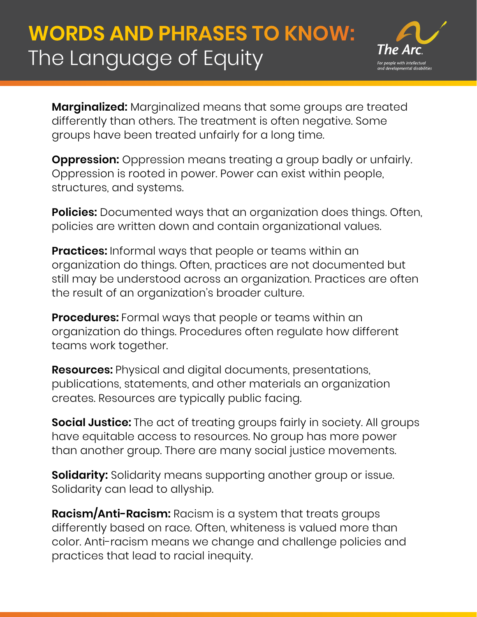

**Marginalized:** Marginalized means that some groups are treated differently than others. The treatment is often negative. Some groups have been treated unfairly for a long time.

**Oppression:** Oppression means treating a group badly or unfairly. Oppression is rooted in power. Power can exist within people, structures, and systems.

**Policies:** Documented ways that an organization does things. Often, policies are written down and contain organizational values.

**Practices:** Informal ways that people or teams within an organization do things. Often, practices are not documented but still may be understood across an organization. Practices are often the result of an organization's broader culture.

**Procedures:** Formal ways that people or teams within an organization do things. Procedures often regulate how different teams work together.

**Resources:** Physical and digital documents, presentations, publications, statements, and other materials an organization creates. Resources are typically public facing.

**Social Justice:** The act of treating groups fairly in society. All groups have equitable access to resources. No group has more power than another group. There are many social justice movements.

**Solidarity:** Solidarity means supporting another group or issue. Solidarity can lead to allyship.

**Racism/Anti-Racism:** Racism is a system that treats groups differently based on race. Often, whiteness is valued more than color. Anti-racism means we change and challenge policies and practices that lead to racial inequity.